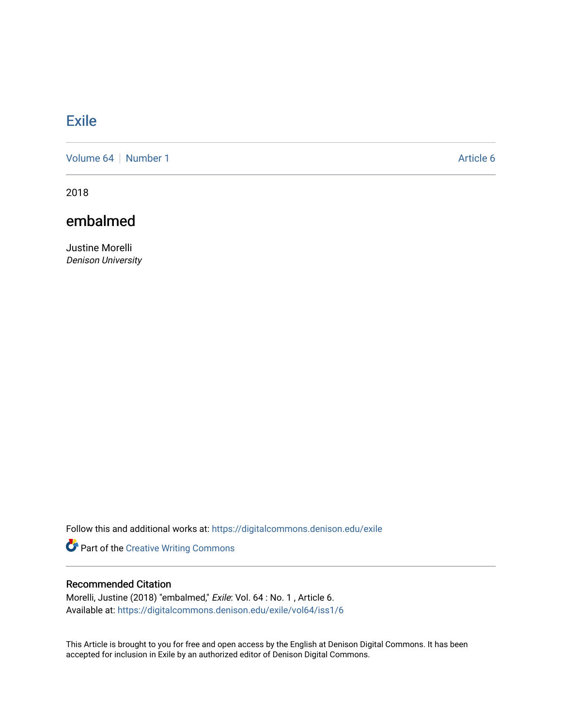## **[Exile](https://digitalcommons.denison.edu/exile)**

[Volume 64](https://digitalcommons.denison.edu/exile/vol64) [Number 1](https://digitalcommons.denison.edu/exile/vol64/iss1) Article 6

2018

## embalmed

Justine Morelli Denison University

Follow this and additional works at: [https://digitalcommons.denison.edu/exile](https://digitalcommons.denison.edu/exile?utm_source=digitalcommons.denison.edu%2Fexile%2Fvol64%2Fiss1%2F6&utm_medium=PDF&utm_campaign=PDFCoverPages) 

Part of the [Creative Writing Commons](http://network.bepress.com/hgg/discipline/574?utm_source=digitalcommons.denison.edu%2Fexile%2Fvol64%2Fiss1%2F6&utm_medium=PDF&utm_campaign=PDFCoverPages) 

## Recommended Citation

Morelli, Justine (2018) "embalmed," Exile: Vol. 64 : No. 1 , Article 6. Available at: [https://digitalcommons.denison.edu/exile/vol64/iss1/6](https://digitalcommons.denison.edu/exile/vol64/iss1/6?utm_source=digitalcommons.denison.edu%2Fexile%2Fvol64%2Fiss1%2F6&utm_medium=PDF&utm_campaign=PDFCoverPages) 

This Article is brought to you for free and open access by the English at Denison Digital Commons. It has been accepted for inclusion in Exile by an authorized editor of Denison Digital Commons.